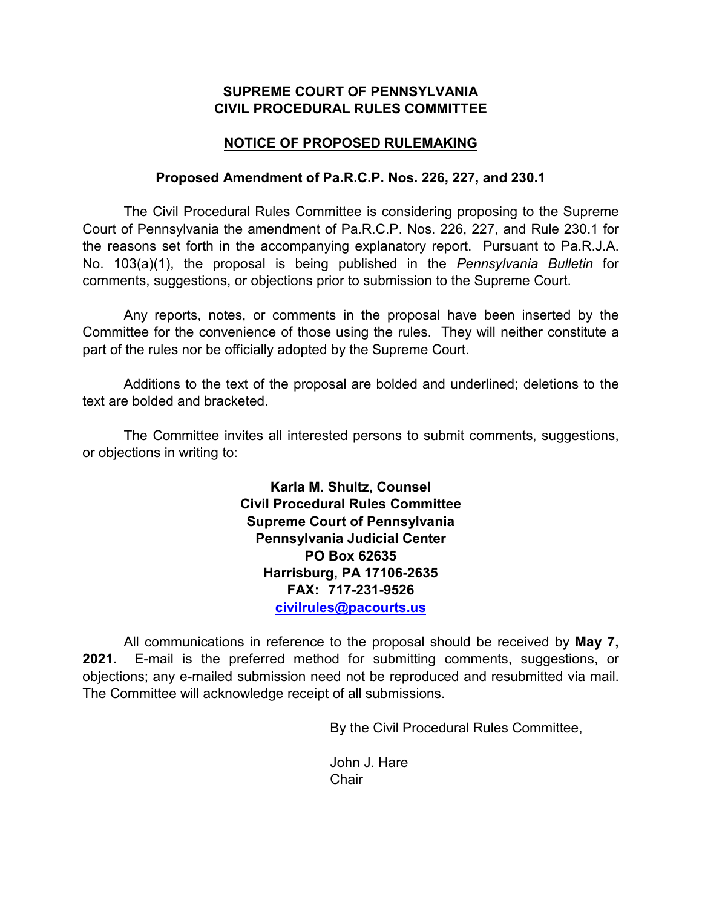# **SUPREME COURT OF PENNSYLVANIA CIVIL PROCEDURAL RULES COMMITTEE**

# **NOTICE OF PROPOSED RULEMAKING**

### **Proposed Amendment of Pa.R.C.P. Nos. 226, 227, and 230.1**

The Civil Procedural Rules Committee is considering proposing to the Supreme Court of Pennsylvania the amendment of Pa.R.C.P. Nos. 226, 227, and Rule 230.1 for the reasons set forth in the accompanying explanatory report. Pursuant to Pa.R.J.A. No. 103(a)(1), the proposal is being published in the *Pennsylvania Bulletin* for comments, suggestions, or objections prior to submission to the Supreme Court.

Any reports, notes, or comments in the proposal have been inserted by the Committee for the convenience of those using the rules. They will neither constitute a part of the rules nor be officially adopted by the Supreme Court.

Additions to the text of the proposal are bolded and underlined; deletions to the text are bolded and bracketed.

The Committee invites all interested persons to submit comments, suggestions, or objections in writing to:

> **Karla M. Shultz, Counsel Civil Procedural Rules Committee Supreme Court of Pennsylvania Pennsylvania Judicial Center PO Box 62635 Harrisburg, PA 17106-2635 FAX: 717-231-9526 [civilrules@pacourts.us](mailto:civilrules@pacourts.us)**

All communications in reference to the proposal should be received by **May 7, 2021.** E-mail is the preferred method for submitting comments, suggestions, or objections; any e-mailed submission need not be reproduced and resubmitted via mail. The Committee will acknowledge receipt of all submissions.

By the Civil Procedural Rules Committee,

John J. Hare **Chair**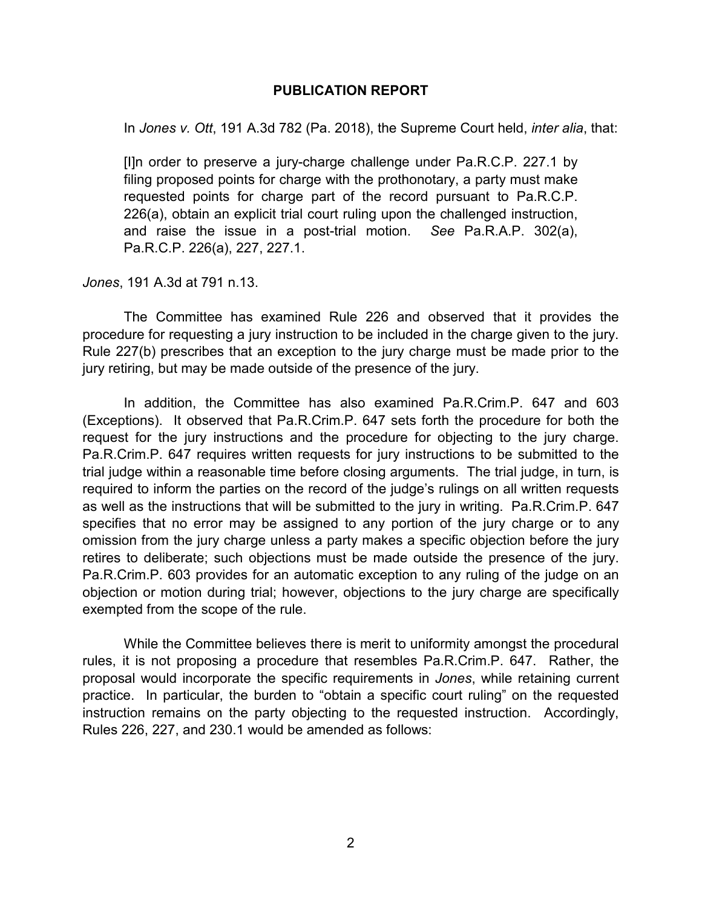### **PUBLICATION REPORT**

In *Jones v. Ott*, 191 A.3d 782 (Pa. 2018), the Supreme Court held, *inter alia*, that:

[I]n order to preserve a jury-charge challenge under Pa.R.C.P. 227.1 by filing proposed points for charge with the prothonotary, a party must make requested points for charge part of the record pursuant to Pa.R.C.P. 226(a), obtain an explicit trial court ruling upon the challenged instruction, and raise the issue in a post-trial motion. *See* Pa.R.A.P. 302(a), Pa.R.C.P. 226(a), 227, 227.1.

*Jones*, 191 A.3d at 791 n.13.

The Committee has examined Rule 226 and observed that it provides the procedure for requesting a jury instruction to be included in the charge given to the jury. Rule 227(b) prescribes that an exception to the jury charge must be made prior to the jury retiring, but may be made outside of the presence of the jury.

In addition, the Committee has also examined Pa.R.Crim.P. 647 and 603 (Exceptions). It observed that Pa.R.Crim.P. 647 sets forth the procedure for both the request for the jury instructions and the procedure for objecting to the jury charge. Pa.R.Crim.P. 647 requires written requests for jury instructions to be submitted to the trial judge within a reasonable time before closing arguments. The trial judge, in turn, is required to inform the parties on the record of the judge's rulings on all written requests as well as the instructions that will be submitted to the jury in writing. Pa.R.Crim.P. 647 specifies that no error may be assigned to any portion of the jury charge or to any omission from the jury charge unless a party makes a specific objection before the jury retires to deliberate; such objections must be made outside the presence of the jury. Pa.R.Crim.P. 603 provides for an automatic exception to any ruling of the judge on an objection or motion during trial; however, objections to the jury charge are specifically exempted from the scope of the rule.

While the Committee believes there is merit to uniformity amongst the procedural rules, it is not proposing a procedure that resembles Pa.R.Crim.P. 647. Rather, the proposal would incorporate the specific requirements in *Jones*, while retaining current practice. In particular, the burden to "obtain a specific court ruling" on the requested instruction remains on the party objecting to the requested instruction. Accordingly, Rules 226, 227, and 230.1 would be amended as follows: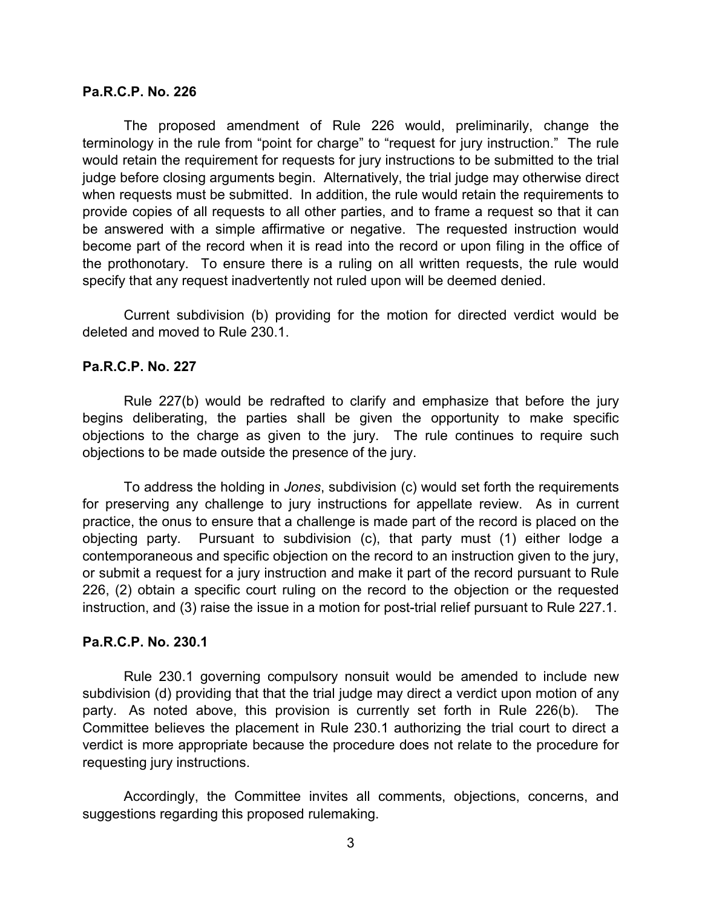#### **Pa.R.C.P. No. 226**

The proposed amendment of Rule 226 would, preliminarily, change the terminology in the rule from "point for charge" to "request for jury instruction." The rule would retain the requirement for requests for jury instructions to be submitted to the trial judge before closing arguments begin. Alternatively, the trial judge may otherwise direct when requests must be submitted. In addition, the rule would retain the requirements to provide copies of all requests to all other parties, and to frame a request so that it can be answered with a simple affirmative or negative. The requested instruction would become part of the record when it is read into the record or upon filing in the office of the prothonotary. To ensure there is a ruling on all written requests, the rule would specify that any request inadvertently not ruled upon will be deemed denied.

Current subdivision (b) providing for the motion for directed verdict would be deleted and moved to Rule 230.1.

### **Pa.R.C.P. No. 227**

Rule 227(b) would be redrafted to clarify and emphasize that before the jury begins deliberating, the parties shall be given the opportunity to make specific objections to the charge as given to the jury. The rule continues to require such objections to be made outside the presence of the jury.

To address the holding in *Jones*, subdivision (c) would set forth the requirements for preserving any challenge to jury instructions for appellate review. As in current practice, the onus to ensure that a challenge is made part of the record is placed on the objecting party. Pursuant to subdivision (c), that party must (1) either lodge a contemporaneous and specific objection on the record to an instruction given to the jury, or submit a request for a jury instruction and make it part of the record pursuant to Rule 226, (2) obtain a specific court ruling on the record to the objection or the requested instruction, and (3) raise the issue in a motion for post-trial relief pursuant to Rule 227.1.

### **Pa.R.C.P. No. 230.1**

Rule 230.1 governing compulsory nonsuit would be amended to include new subdivision (d) providing that that the trial judge may direct a verdict upon motion of any party. As noted above, this provision is currently set forth in Rule 226(b). The Committee believes the placement in Rule 230.1 authorizing the trial court to direct a verdict is more appropriate because the procedure does not relate to the procedure for requesting jury instructions.

Accordingly, the Committee invites all comments, objections, concerns, and suggestions regarding this proposed rulemaking.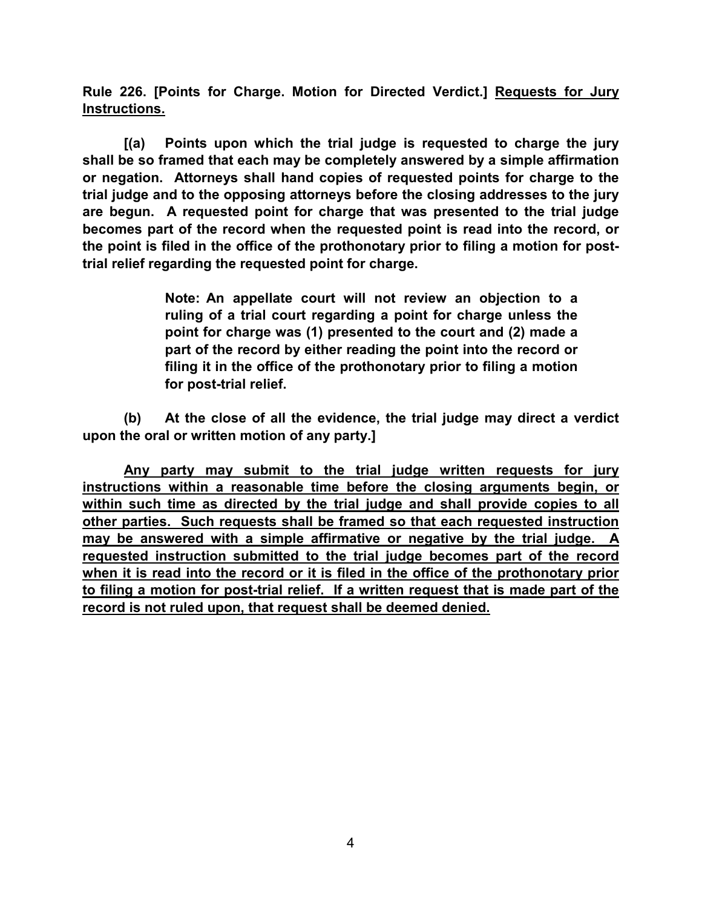**Rule 226. [Points for Charge. Motion for Directed Verdict.] Requests for Jury Instructions.**

**[(a) Points upon which the trial judge is requested to charge the jury shall be so framed that each may be completely answered by a simple affirmation or negation. Attorneys shall hand copies of requested points for charge to the trial judge and to the opposing attorneys before the closing addresses to the jury are begun. A requested point for charge that was presented to the trial judge becomes part of the record when the requested point is read into the record, or the point is filed in the office of the prothonotary prior to filing a motion for posttrial relief regarding the requested point for charge.**

> **Note: An appellate court will not review an objection to a ruling of a trial court regarding a point for charge unless the point for charge was (1) presented to the court and (2) made a part of the record by either reading the point into the record or filing it in the office of the prothonotary prior to filing a motion for post-trial relief.**

**(b) At the close of all the evidence, the trial judge may direct a verdict upon the oral or written motion of any party.]** 

**Any party may submit to the trial judge written requests for jury instructions within a reasonable time before the closing arguments begin, or within such time as directed by the trial judge and shall provide copies to all other parties. Such requests shall be framed so that each requested instruction may be answered with a simple affirmative or negative by the trial judge. A requested instruction submitted to the trial judge becomes part of the record when it is read into the record or it is filed in the office of the prothonotary prior to filing a motion for post-trial relief. If a written request that is made part of the record is not ruled upon, that request shall be deemed denied.**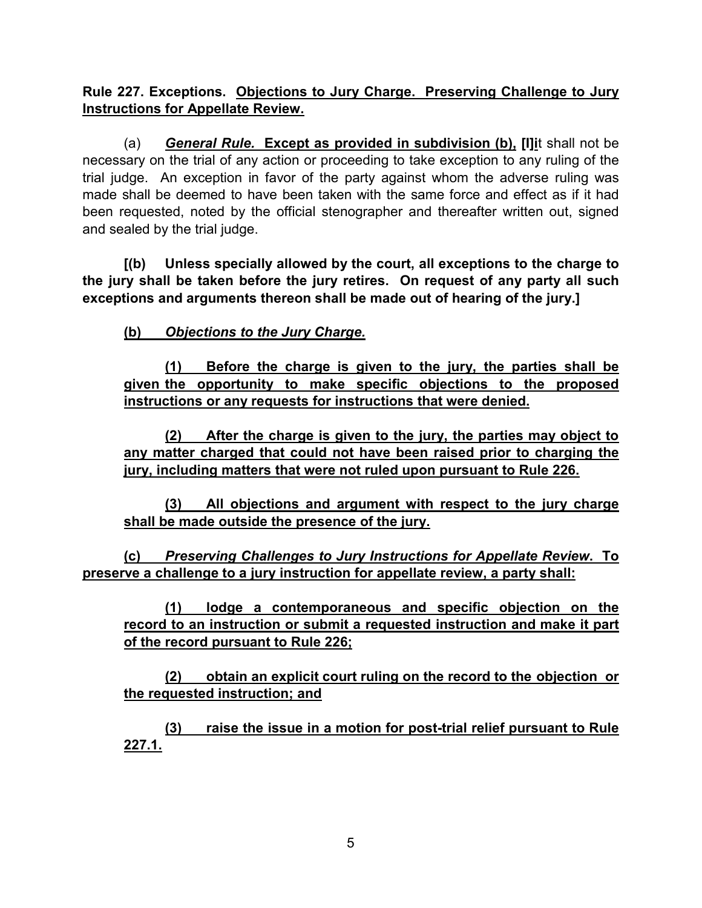**Rule 227. Exceptions. Objections to Jury Charge. Preserving Challenge to Jury Instructions for Appellate Review.**

(a) *General Rule.* **Except as provided in subdivision (b), [I]i**t shall not be necessary on the trial of any action or proceeding to take exception to any ruling of the trial judge. An exception in favor of the party against whom the adverse ruling was made shall be deemed to have been taken with the same force and effect as if it had been requested, noted by the official stenographer and thereafter written out, signed and sealed by the trial judge.

**[(b) Unless specially allowed by the court, all exceptions to the charge to the jury shall be taken before the jury retires. On request of any party all such exceptions and arguments thereon shall be made out of hearing of the jury.]**

**(b)** *Objections to the Jury Charge.*

**(1) Before the charge is given to the jury, the parties shall be given the opportunity to make specific objections to the proposed instructions or any requests for instructions that were denied.** 

**(2) After the charge is given to the jury, the parties may object to any matter charged that could not have been raised prior to charging the jury, including matters that were not ruled upon pursuant to Rule 226.** 

**(3) All objections and argument with respect to the jury charge shall be made outside the presence of the jury.**

**(c)** *Preserving Challenges to Jury Instructions for Appellate Review***. To preserve a challenge to a jury instruction for appellate review, a party shall:**

**(1) lodge a contemporaneous and specific objection on the record to an instruction or submit a requested instruction and make it part of the record pursuant to Rule 226;**

**(2) obtain an explicit court ruling on the record to the objection or the requested instruction; and**

**(3) raise the issue in a motion for post-trial relief pursuant to Rule 227.1.**